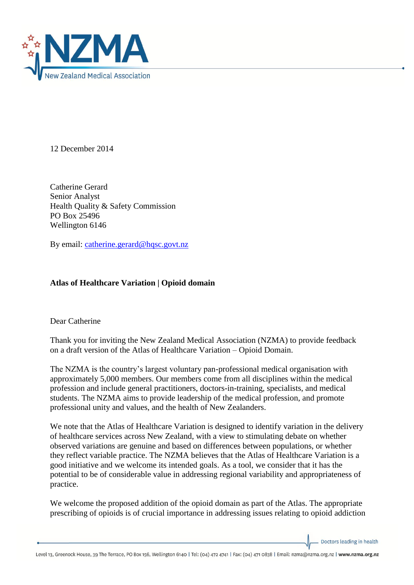

12 December 2014

Catherine Gerard Senior Analyst Health Quality & Safety Commission PO Box 25496 Wellington 6146

By email: [catherine.gerard@hqsc.govt.nz](mailto:catherine.gerard@hqsc.govt.nz)

## **Atlas of Healthcare Variation | Opioid domain**

Dear Catherine

Thank you for inviting the New Zealand Medical Association (NZMA) to provide feedback on a draft version of the Atlas of Healthcare Variation – Opioid Domain.

The NZMA is the country's largest voluntary pan-professional medical organisation with approximately 5,000 members. Our members come from all disciplines within the medical profession and include general practitioners, doctors-in-training, specialists, and medical students. The NZMA aims to provide leadership of the medical profession, and promote professional unity and values, and the health of New Zealanders.

We note that the Atlas of Healthcare Variation is designed to identify variation in the delivery of healthcare services across New Zealand, with a view to stimulating debate on whether observed variations are genuine and based on differences between populations, or whether they reflect variable practice. The NZMA believes that the Atlas of Healthcare Variation is a good initiative and we welcome its intended goals. As a tool, we consider that it has the potential to be of considerable value in addressing regional variability and appropriateness of practice.

We welcome the proposed addition of the opioid domain as part of the Atlas. The appropriate prescribing of opioids is of crucial importance in addressing issues relating to opioid addiction

Doctors leading in health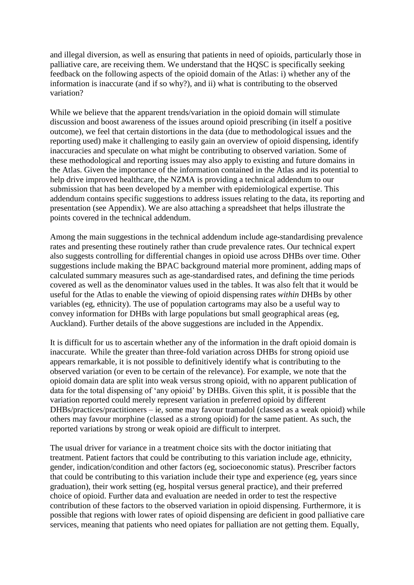and illegal diversion, as well as ensuring that patients in need of opioids, particularly those in palliative care, are receiving them. We understand that the HQSC is specifically seeking feedback on the following aspects of the opioid domain of the Atlas: i) whether any of the information is inaccurate (and if so why?), and ii) what is contributing to the observed variation?

While we believe that the apparent trends/variation in the opioid domain will stimulate discussion and boost awareness of the issues around opioid prescribing (in itself a positive outcome), we feel that certain distortions in the data (due to methodological issues and the reporting used) make it challenging to easily gain an overview of opioid dispensing, identify inaccuracies and speculate on what might be contributing to observed variation. Some of these methodological and reporting issues may also apply to existing and future domains in the Atlas. Given the importance of the information contained in the Atlas and its potential to help drive improved healthcare, the NZMA is providing a technical addendum to our submission that has been developed by a member with epidemiological expertise. This addendum contains specific suggestions to address issues relating to the data, its reporting and presentation (see Appendix). We are also attaching a spreadsheet that helps illustrate the points covered in the technical addendum.

Among the main suggestions in the technical addendum include age-standardising prevalence rates and presenting these routinely rather than crude prevalence rates. Our technical expert also suggests controlling for differential changes in opioid use across DHBs over time. Other suggestions include making the BPAC background material more prominent, adding maps of calculated summary measures such as age-standardised rates, and defining the time periods covered as well as the denominator values used in the tables. It was also felt that it would be useful for the Atlas to enable the viewing of opioid dispensing rates *within* DHBs by other variables (eg, ethnicity). The use of population cartograms may also be a useful way to convey information for DHBs with large populations but small geographical areas (eg, Auckland). Further details of the above suggestions are included in the Appendix.

It is difficult for us to ascertain whether any of the information in the draft opioid domain is inaccurate. While the greater than three-fold variation across DHBs for strong opioid use appears remarkable, it is not possible to definitively identify what is contributing to the observed variation (or even to be certain of the relevance). For example, we note that the opioid domain data are split into weak versus strong opioid, with no apparent publication of data for the total dispensing of 'any opioid' by DHBs. Given this split, it is possible that the variation reported could merely represent variation in preferred opioid by different DHBs/practices/practitioners – ie, some may favour tramadol (classed as a weak opioid) while others may favour morphine (classed as a strong opioid) for the same patient. As such, the reported variations by strong or weak opioid are difficult to interpret.

The usual driver for variance in a treatment choice sits with the doctor initiating that treatment. Patient factors that could be contributing to this variation include age, ethnicity, gender, indication/condition and other factors (eg, socioeconomic status). Prescriber factors that could be contributing to this variation include their type and experience (eg, years since graduation), their work setting (eg, hospital versus general practice), and their preferred choice of opioid. Further data and evaluation are needed in order to test the respective contribution of these factors to the observed variation in opioid dispensing. Furthermore, it is possible that regions with lower rates of opioid dispensing are deficient in good palliative care services, meaning that patients who need opiates for palliation are not getting them. Equally,